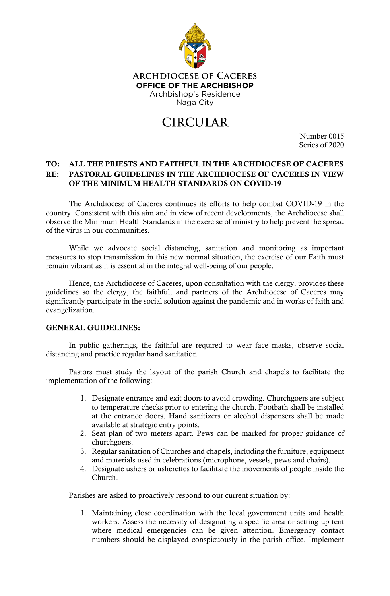

**ARCHDIOCESE OF CACERES OFFICE OF THE ARCHBISHOP** Archbishop's Residence Naga City

# **CIRCULAR**

Number 0015 Series of 2020

# TO: ALL THE PRIESTS AND FAITHFUL IN THE ARCHDIOCESE OF CACERES RE: PASTORAL GUIDELINES IN THE ARCHDIOCESE OF CACERES IN VIEW OF THE MINIMUM HEALTH STANDARDS ON COVID-19

The Archdiocese of Caceres continues its efforts to help combat COVID-19 in the country. Consistent with this aim and in view of recent developments, the Archdiocese shall observe the Minimum Health Standards in the exercise of ministry to help prevent the spread of the virus in our communities.

While we advocate social distancing, sanitation and monitoring as important measures to stop transmission in this new normal situation, the exercise of our Faith must remain vibrant as it is essential in the integral well-being of our people.

Hence, the Archdiocese of Caceres, upon consultation with the clergy, provides these guidelines so the clergy, the faithful, and partners of the Archdiocese of Caceres may significantly participate in the social solution against the pandemic and in works of faith and evangelization.

### GENERAL GUIDELINES:

In public gatherings, the faithful are required to wear face masks, observe social distancing and practice regular hand sanitation.

Pastors must study the layout of the parish Church and chapels to facilitate the implementation of the following:

- 1. Designate entrance and exit doors to avoid crowding. Churchgoers are subject to temperature checks prior to entering the church. Footbath shall be installed at the entrance doors. Hand sanitizers or alcohol dispensers shall be made available at strategic entry points.
- 2. Seat plan of two meters apart. Pews can be marked for proper guidance of churchgoers.
- 3. Regular sanitation of Churches and chapels, including the furniture, equipment and materials used in celebrations (microphone, vessels, pews and chairs).
- 4. Designate ushers or usherettes to facilitate the movements of people inside the Church.

Parishes are asked to proactively respond to our current situation by:

1. Maintaining close coordination with the local government units and health workers. Assess the necessity of designating a specific area or setting up tent where medical emergencies can be given attention. Emergency contact numbers should be displayed conspicuously in the parish office. Implement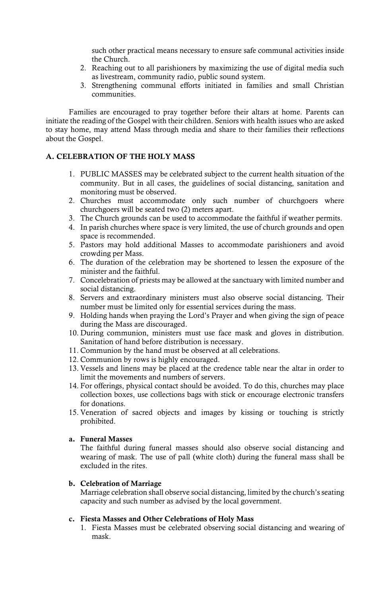such other practical means necessary to ensure safe communal activities inside the Church.

- 2. Reaching out to all parishioners by maximizing the use of digital media such as livestream, community radio, public sound system.
- 3. Strengthening communal efforts initiated in families and small Christian communities.

Families are encouraged to pray together before their altars at home. Parents can initiate the reading of the Gospel with their children. Seniors with health issues who are asked to stay home, may attend Mass through media and share to their families their reflections about the Gospel.

## A. CELEBRATION OF THE HOLY MASS

- 1. PUBLIC MASSES may be celebrated subject to the current health situation of the community. But in all cases, the guidelines of social distancing, sanitation and monitoring must be observed.
- 2. Churches must accommodate only such number of churchgoers where churchgoers will be seated two (2) meters apart.
- 3. The Church grounds can be used to accommodate the faithful if weather permits.
- 4. In parish churches where space is very limited, the use of church grounds and open space is recommended.
- 5. Pastors may hold additional Masses to accommodate parishioners and avoid crowding per Mass.
- 6. The duration of the celebration may be shortened to lessen the exposure of the minister and the faithful.
- 7. Concelebration of priests may be allowed at the sanctuary with limited number and social distancing.
- 8. Servers and extraordinary ministers must also observe social distancing. Their number must be limited only for essential services during the mass.
- 9. Holding hands when praying the Lord's Prayer and when giving the sign of peace during the Mass are discouraged.
- 10. During communion, ministers must use face mask and gloves in distribution. Sanitation of hand before distribution is necessary.
- 11. Communion by the hand must be observed at all celebrations.
- 12. Communion by rows is highly encouraged.
- 13. Vessels and linens may be placed at the credence table near the altar in order to limit the movements and numbers of servers.
- 14. For offerings, physical contact should be avoided. To do this, churches may place collection boxes, use collections bags with stick or encourage electronic transfers for donations.
- 15. Veneration of sacred objects and images by kissing or touching is strictly prohibited.

### a. Funeral Masses

The faithful during funeral masses should also observe social distancing and wearing of mask. The use of pall (white cloth) during the funeral mass shall be excluded in the rites.

## b. Celebration of Marriage

Marriage celebration shall observe social distancing, limited by the church'sseating capacity and such number as advised by the local government.

### c. Fiesta Masses and Other Celebrations of Holy Mass

1. Fiesta Masses must be celebrated observing social distancing and wearing of mask.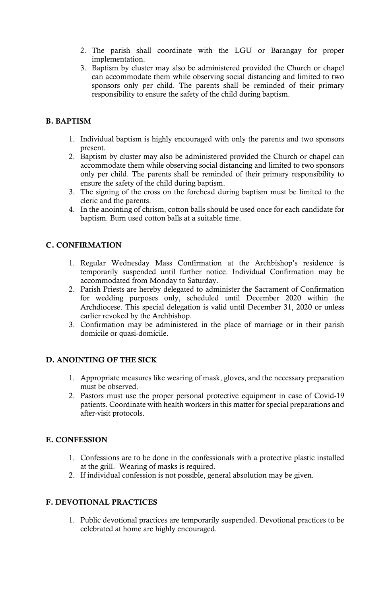- 2. The parish shall coordinate with the LGU or Barangay for proper implementation.
- 3. Baptism by cluster may also be administered provided the Church or chapel can accommodate them while observing social distancing and limited to two sponsors only per child. The parents shall be reminded of their primary responsibility to ensure the safety of the child during baptism.

# B. BAPTISM

- 1. Individual baptism is highly encouraged with only the parents and two sponsors present.
- 2. Baptism by cluster may also be administered provided the Church or chapel can accommodate them while observing social distancing and limited to two sponsors only per child. The parents shall be reminded of their primary responsibility to ensure the safety of the child during baptism.
- 3. The signing of the cross on the forehead during baptism must be limited to the cleric and the parents.
- 4. In the anointing of chrism, cotton balls should be used once for each candidate for baptism. Burn used cotton balls at a suitable time.

## C. CONFIRMATION

- 1. Regular Wednesday Mass Confirmation at the Archbishop's residence is temporarily suspended until further notice. Individual Confirmation may be accommodated from Monday to Saturday.
- 2. Parish Priests are hereby delegated to administer the Sacrament of Confirmation for wedding purposes only, scheduled until December 2020 within the Archdiocese. This special delegation is valid until December 31, 2020 or unless earlier revoked by the Archbishop.
- 3. Confirmation may be administered in the place of marriage or in their parish domicile or quasi-domicile.

### D. ANOINTING OF THE SICK

- 1. Appropriate measures like wearing of mask, gloves, and the necessary preparation must be observed.
- 2. Pastors must use the proper personal protective equipment in case of Covid-19 patients. Coordinate with health workersin this matter for special preparations and after-visit protocols.

### E. CONFESSION

- 1. Confessions are to be done in the confessionals with a protective plastic installed at the grill. Wearing of masks is required.
- 2. If individual confession is not possible, general absolution may be given.

# F. DEVOTIONAL PRACTICES

1. Public devotional practices are temporarily suspended. Devotional practices to be celebrated at home are highly encouraged.